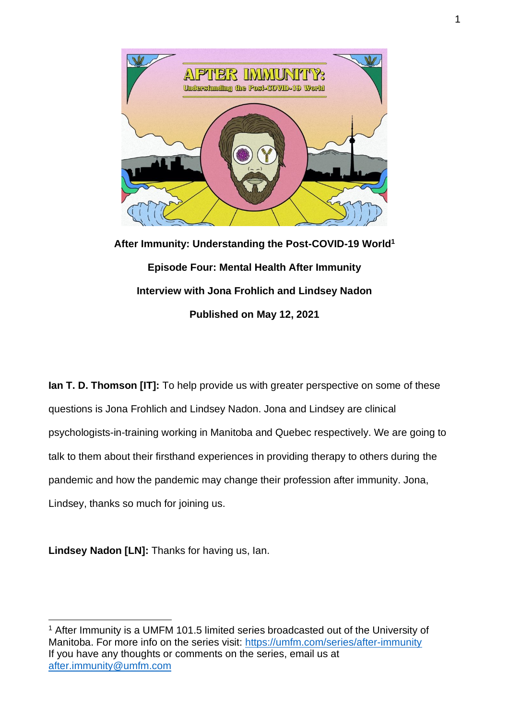

**After Immunity: Understanding the Post-COVID-19 World<sup>1</sup> Episode Four: Mental Health After Immunity Interview with Jona Frohlich and Lindsey Nadon Published on May 12, 2021**

**Ian T. D. Thomson [IT]:** To help provide us with greater perspective on some of these questions is Jona Frohlich and Lindsey Nadon. Jona and Lindsey are clinical psychologists-in-training working in Manitoba and Quebec respectively. We are going to talk to them about their firsthand experiences in providing therapy to others during the pandemic and how the pandemic may change their profession after immunity. Jona, Lindsey, thanks so much for joining us.

**Lindsey Nadon [LN]:** Thanks for having us, Ian.

<sup>&</sup>lt;sup>1</sup> After Immunity is a UMFM 101.5 limited series broadcasted out of the University of Manitoba. For more info on the series visit:<https://umfm.com/series/after-immunity> If you have any thoughts or comments on the series, email us at [after.immunity@umfm.com](mailto:after.immunity@umfm.com)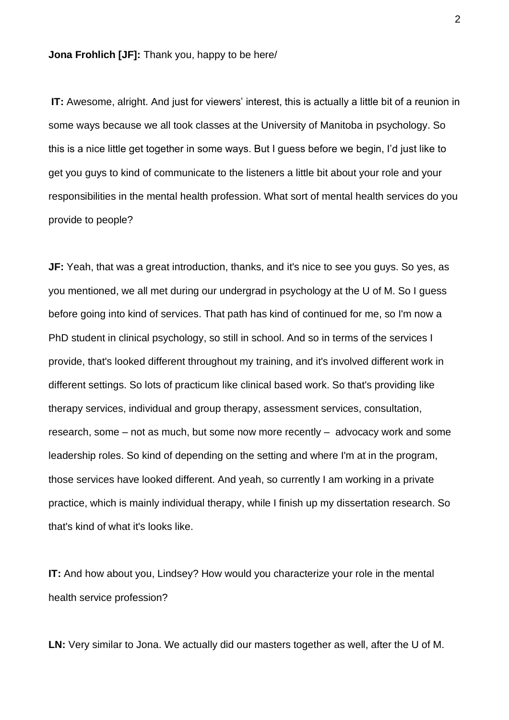**Jona Frohlich [JF]:** Thank you, happy to be here/

**IT:** Awesome, alright. And just for viewers' interest, this is actually a little bit of a reunion in some ways because we all took classes at the University of Manitoba in psychology. So this is a nice little get together in some ways. But I guess before we begin, I'd just like to get you guys to kind of communicate to the listeners a little bit about your role and your responsibilities in the mental health profession. What sort of mental health services do you provide to people?

**JF:** Yeah, that was a great introduction, thanks, and it's nice to see you guys. So yes, as you mentioned, we all met during our undergrad in psychology at the U of M. So I guess before going into kind of services. That path has kind of continued for me, so I'm now a PhD student in clinical psychology, so still in school. And so in terms of the services I provide, that's looked different throughout my training, and it's involved different work in different settings. So lots of practicum like clinical based work. So that's providing like therapy services, individual and group therapy, assessment services, consultation, research, some – not as much, but some now more recently – advocacy work and some leadership roles. So kind of depending on the setting and where I'm at in the program, those services have looked different. And yeah, so currently I am working in a private practice, which is mainly individual therapy, while I finish up my dissertation research. So that's kind of what it's looks like.

**IT:** And how about you, Lindsey? How would you characterize your role in the mental health service profession?

**LN:** Very similar to Jona. We actually did our masters together as well, after the U of M.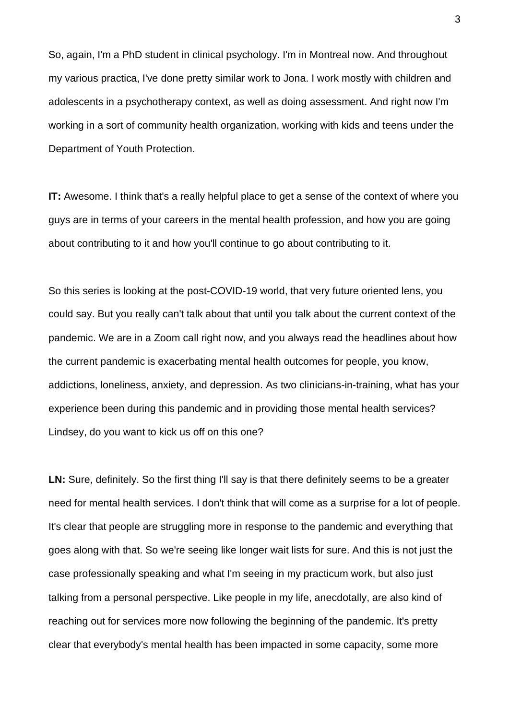So, again, I'm a PhD student in clinical psychology. I'm in Montreal now. And throughout my various practica, I've done pretty similar work to Jona. I work mostly with children and adolescents in a psychotherapy context, as well as doing assessment. And right now I'm working in a sort of community health organization, working with kids and teens under the Department of Youth Protection.

**IT:** Awesome. I think that's a really helpful place to get a sense of the context of where you guys are in terms of your careers in the mental health profession, and how you are going about contributing to it and how you'll continue to go about contributing to it.

So this series is looking at the post-COVID-19 world, that very future oriented lens, you could say. But you really can't talk about that until you talk about the current context of the pandemic. We are in a Zoom call right now, and you always read the headlines about how the current pandemic is exacerbating mental health outcomes for people, you know, addictions, loneliness, anxiety, and depression. As two clinicians-in-training, what has your experience been during this pandemic and in providing those mental health services? Lindsey, do you want to kick us off on this one?

LN: Sure, definitely. So the first thing I'll say is that there definitely seems to be a greater need for mental health services. I don't think that will come as a surprise for a lot of people. It's clear that people are struggling more in response to the pandemic and everything that goes along with that. So we're seeing like longer wait lists for sure. And this is not just the case professionally speaking and what I'm seeing in my practicum work, but also just talking from a personal perspective. Like people in my life, anecdotally, are also kind of reaching out for services more now following the beginning of the pandemic. It's pretty clear that everybody's mental health has been impacted in some capacity, some more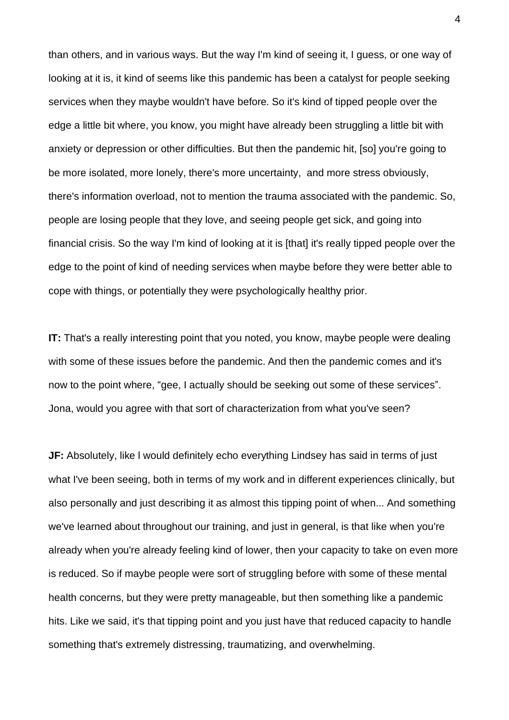than others, and in various ways. But the way I'm kind of seeing it, I guess, or one way of looking at it is, it kind of seems like this pandemic has been a catalyst for people seeking services when they maybe wouldn't have before. So it's kind of tipped people over the edge a little bit where, you know, you might have already been struggling a little bit with anxiety or depression or other difficulties. But then the pandemic hit, [so] you're going to be more isolated, more lonely, there's more uncertainty, and more stress obviously, there's information overload, not to mention the trauma associated with the pandemic. So, people are losing people that they love, and seeing people get sick, and going into financial crisis. So the way I'm kind of looking at it is [that] it's really tipped people over the edge to the point of kind of needing services when maybe before they were better able to cope with things, or potentially they were psychologically healthy prior.

**IT:** That's a really interesting point that you noted, you know, maybe people were dealing with some of these issues before the pandemic. And then the pandemic comes and it's now to the point where, "gee, I actually should be seeking out some of these services". Jona, would you agree with that sort of characterization from what you've seen?

**JF:** Absolutely, like I would definitely echo everything Lindsey has said in terms of just what I've been seeing, both in terms of my work and in different experiences clinically, but also personally and just describing it as almost this tipping point of when... And something we've learned about throughout our training, and just in general, is that like when you're already when you're already feeling kind of lower, then your capacity to take on even more is reduced. So if maybe people were sort of struggling before with some of these mental health concerns, but they were pretty manageable, but then something like a pandemic hits. Like we said, it's that tipping point and you just have that reduced capacity to handle something that's extremely distressing, traumatizing, and overwhelming.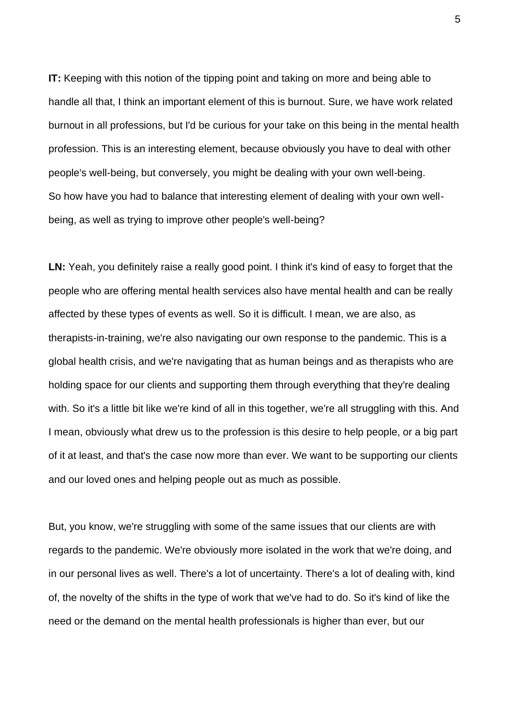**IT:** Keeping with this notion of the tipping point and taking on more and being able to handle all that, I think an important element of this is burnout. Sure, we have work related burnout in all professions, but I'd be curious for your take on this being in the mental health profession. This is an interesting element, because obviously you have to deal with other people's well-being, but conversely, you might be dealing with your own well-being. So how have you had to balance that interesting element of dealing with your own wellbeing, as well as trying to improve other people's well-being?

**LN:** Yeah, you definitely raise a really good point. I think it's kind of easy to forget that the people who are offering mental health services also have mental health and can be really affected by these types of events as well. So it is difficult. I mean, we are also, as therapists-in-training, we're also navigating our own response to the pandemic. This is a global health crisis, and we're navigating that as human beings and as therapists who are holding space for our clients and supporting them through everything that they're dealing with. So it's a little bit like we're kind of all in this together, we're all struggling with this. And I mean, obviously what drew us to the profession is this desire to help people, or a big part of it at least, and that's the case now more than ever. We want to be supporting our clients and our loved ones and helping people out as much as possible.

But, you know, we're struggling with some of the same issues that our clients are with regards to the pandemic. We're obviously more isolated in the work that we're doing, and in our personal lives as well. There's a lot of uncertainty. There's a lot of dealing with, kind of, the novelty of the shifts in the type of work that we've had to do. So it's kind of like the need or the demand on the mental health professionals is higher than ever, but our

5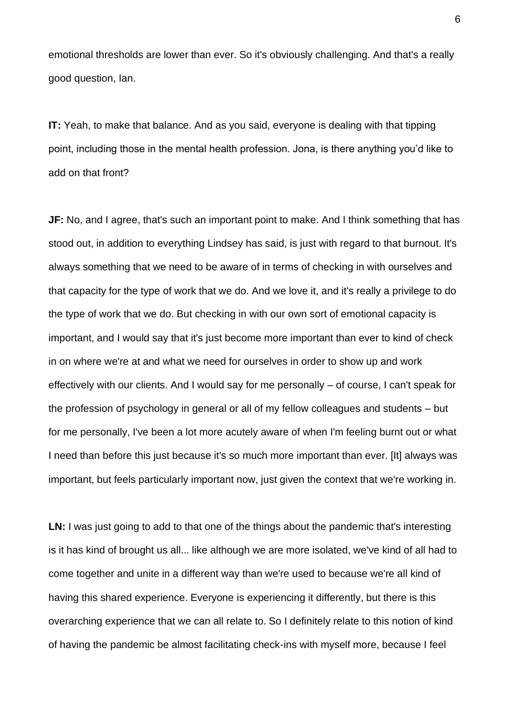emotional thresholds are lower than ever. So it's obviously challenging. And that's a really good question, Ian.

**IT:** Yeah, to make that balance. And as you said, everyone is dealing with that tipping point, including those in the mental health profession. Jona, is there anything you'd like to add on that front?

**JF:** No, and I agree, that's such an important point to make. And I think something that has stood out, in addition to everything Lindsey has said, is just with regard to that burnout. It's always something that we need to be aware of in terms of checking in with ourselves and that capacity for the type of work that we do. And we love it, and it's really a privilege to do the type of work that we do. But checking in with our own sort of emotional capacity is important, and I would say that it's just become more important than ever to kind of check in on where we're at and what we need for ourselves in order to show up and work effectively with our clients. And I would say for me personally – of course, I can't speak for the profession of psychology in general or all of my fellow colleagues and students – but for me personally, I've been a lot more acutely aware of when I'm feeling burnt out or what I need than before this just because it's so much more important than ever. [It] always was important, but feels particularly important now, just given the context that we're working in.

LN: I was just going to add to that one of the things about the pandemic that's interesting is it has kind of brought us all... like although we are more isolated, we've kind of all had to come together and unite in a different way than we're used to because we're all kind of having this shared experience. Everyone is experiencing it differently, but there is this overarching experience that we can all relate to. So I definitely relate to this notion of kind of having the pandemic be almost facilitating check-ins with myself more, because I feel

6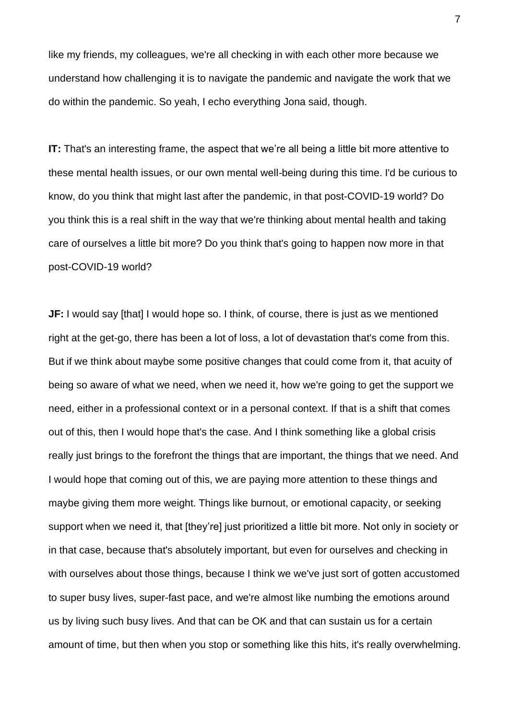like my friends, my colleagues, we're all checking in with each other more because we understand how challenging it is to navigate the pandemic and navigate the work that we do within the pandemic. So yeah, I echo everything Jona said, though.

**IT:** That's an interesting frame, the aspect that we're all being a little bit more attentive to these mental health issues, or our own mental well-being during this time. I'd be curious to know, do you think that might last after the pandemic, in that post-COVID-19 world? Do you think this is a real shift in the way that we're thinking about mental health and taking care of ourselves a little bit more? Do you think that's going to happen now more in that post-COVID-19 world?

**JF:** I would say [that] I would hope so. I think, of course, there is just as we mentioned right at the get-go, there has been a lot of loss, a lot of devastation that's come from this. But if we think about maybe some positive changes that could come from it, that acuity of being so aware of what we need, when we need it, how we're going to get the support we need, either in a professional context or in a personal context. If that is a shift that comes out of this, then I would hope that's the case. And I think something like a global crisis really just brings to the forefront the things that are important, the things that we need. And I would hope that coming out of this, we are paying more attention to these things and maybe giving them more weight. Things like burnout, or emotional capacity, or seeking support when we need it, that [they're] just prioritized a little bit more. Not only in society or in that case, because that's absolutely important, but even for ourselves and checking in with ourselves about those things, because I think we we've just sort of gotten accustomed to super busy lives, super-fast pace, and we're almost like numbing the emotions around us by living such busy lives. And that can be OK and that can sustain us for a certain amount of time, but then when you stop or something like this hits, it's really overwhelming.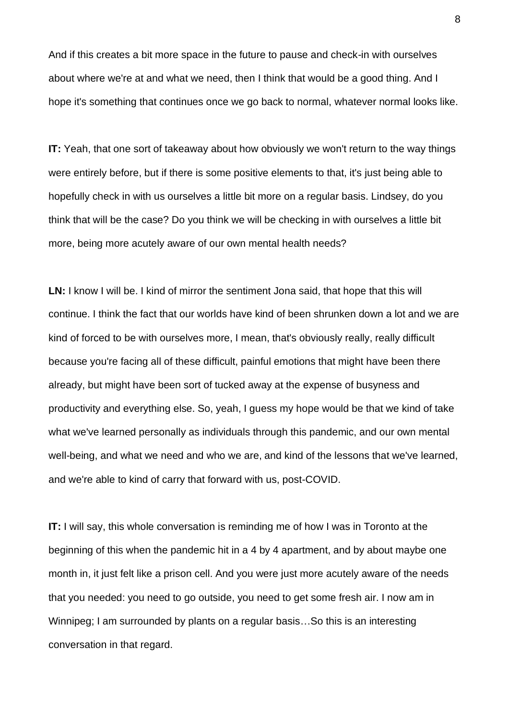And if this creates a bit more space in the future to pause and check-in with ourselves about where we're at and what we need, then I think that would be a good thing. And I hope it's something that continues once we go back to normal, whatever normal looks like.

**IT:** Yeah, that one sort of takeaway about how obviously we won't return to the way things were entirely before, but if there is some positive elements to that, it's just being able to hopefully check in with us ourselves a little bit more on a regular basis. Lindsey, do you think that will be the case? Do you think we will be checking in with ourselves a little bit more, being more acutely aware of our own mental health needs?

**LN:** I know I will be. I kind of mirror the sentiment Jona said, that hope that this will continue. I think the fact that our worlds have kind of been shrunken down a lot and we are kind of forced to be with ourselves more, I mean, that's obviously really, really difficult because you're facing all of these difficult, painful emotions that might have been there already, but might have been sort of tucked away at the expense of busyness and productivity and everything else. So, yeah, I guess my hope would be that we kind of take what we've learned personally as individuals through this pandemic, and our own mental well-being, and what we need and who we are, and kind of the lessons that we've learned, and we're able to kind of carry that forward with us, post-COVID.

**IT:** I will say, this whole conversation is reminding me of how I was in Toronto at the beginning of this when the pandemic hit in a 4 by 4 apartment, and by about maybe one month in, it just felt like a prison cell. And you were just more acutely aware of the needs that you needed: you need to go outside, you need to get some fresh air. I now am in Winnipeg; I am surrounded by plants on a regular basis…So this is an interesting conversation in that regard.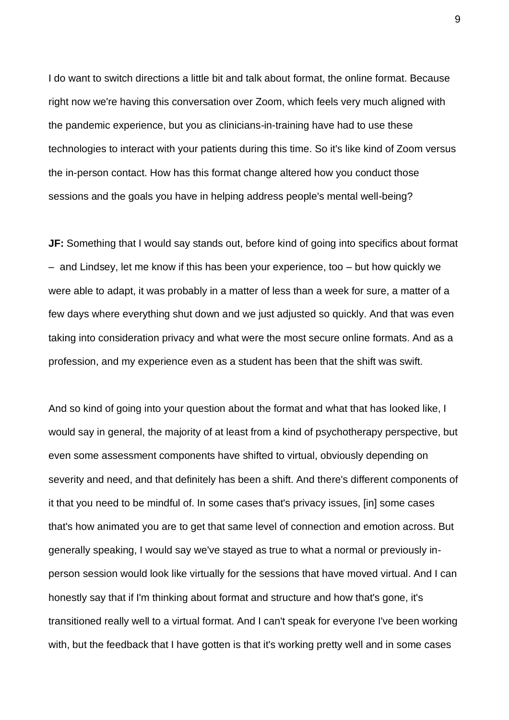I do want to switch directions a little bit and talk about format, the online format. Because right now we're having this conversation over Zoom, which feels very much aligned with the pandemic experience, but you as clinicians-in-training have had to use these technologies to interact with your patients during this time. So it's like kind of Zoom versus the in-person contact. How has this format change altered how you conduct those sessions and the goals you have in helping address people's mental well-being?

**JF:** Something that I would say stands out, before kind of going into specifics about format – and Lindsey, let me know if this has been your experience, too – but how quickly we were able to adapt, it was probably in a matter of less than a week for sure, a matter of a few days where everything shut down and we just adjusted so quickly. And that was even taking into consideration privacy and what were the most secure online formats. And as a profession, and my experience even as a student has been that the shift was swift.

And so kind of going into your question about the format and what that has looked like, I would say in general, the majority of at least from a kind of psychotherapy perspective, but even some assessment components have shifted to virtual, obviously depending on severity and need, and that definitely has been a shift. And there's different components of it that you need to be mindful of. In some cases that's privacy issues, [in] some cases that's how animated you are to get that same level of connection and emotion across. But generally speaking, I would say we've stayed as true to what a normal or previously inperson session would look like virtually for the sessions that have moved virtual. And I can honestly say that if I'm thinking about format and structure and how that's gone, it's transitioned really well to a virtual format. And I can't speak for everyone I've been working with, but the feedback that I have gotten is that it's working pretty well and in some cases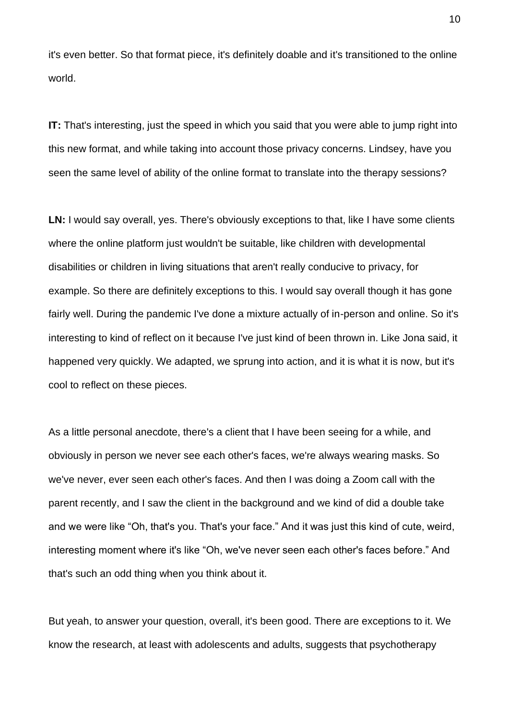it's even better. So that format piece, it's definitely doable and it's transitioned to the online world.

**IT:** That's interesting, just the speed in which you said that you were able to jump right into this new format, and while taking into account those privacy concerns. Lindsey, have you seen the same level of ability of the online format to translate into the therapy sessions?

LN: I would say overall, yes. There's obviously exceptions to that, like I have some clients where the online platform just wouldn't be suitable, like children with developmental disabilities or children in living situations that aren't really conducive to privacy, for example. So there are definitely exceptions to this. I would say overall though it has gone fairly well. During the pandemic I've done a mixture actually of in-person and online. So it's interesting to kind of reflect on it because I've just kind of been thrown in. Like Jona said, it happened very quickly. We adapted, we sprung into action, and it is what it is now, but it's cool to reflect on these pieces.

As a little personal anecdote, there's a client that I have been seeing for a while, and obviously in person we never see each other's faces, we're always wearing masks. So we've never, ever seen each other's faces. And then I was doing a Zoom call with the parent recently, and I saw the client in the background and we kind of did a double take and we were like "Oh, that's you. That's your face." And it was just this kind of cute, weird, interesting moment where it's like "Oh, we've never seen each other's faces before." And that's such an odd thing when you think about it.

But yeah, to answer your question, overall, it's been good. There are exceptions to it. We know the research, at least with adolescents and adults, suggests that psychotherapy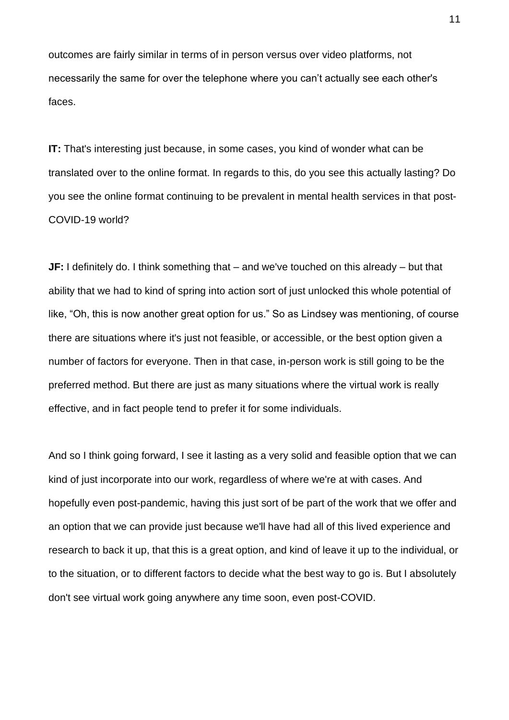outcomes are fairly similar in terms of in person versus over video platforms, not necessarily the same for over the telephone where you can't actually see each other's faces.

**IT:** That's interesting just because, in some cases, you kind of wonder what can be translated over to the online format. In regards to this, do you see this actually lasting? Do you see the online format continuing to be prevalent in mental health services in that post-COVID-19 world?

**JF:** I definitely do. I think something that – and we've touched on this already – but that ability that we had to kind of spring into action sort of just unlocked this whole potential of like, "Oh, this is now another great option for us." So as Lindsey was mentioning, of course there are situations where it's just not feasible, or accessible, or the best option given a number of factors for everyone. Then in that case, in-person work is still going to be the preferred method. But there are just as many situations where the virtual work is really effective, and in fact people tend to prefer it for some individuals.

And so I think going forward, I see it lasting as a very solid and feasible option that we can kind of just incorporate into our work, regardless of where we're at with cases. And hopefully even post-pandemic, having this just sort of be part of the work that we offer and an option that we can provide just because we'll have had all of this lived experience and research to back it up, that this is a great option, and kind of leave it up to the individual, or to the situation, or to different factors to decide what the best way to go is. But I absolutely don't see virtual work going anywhere any time soon, even post-COVID.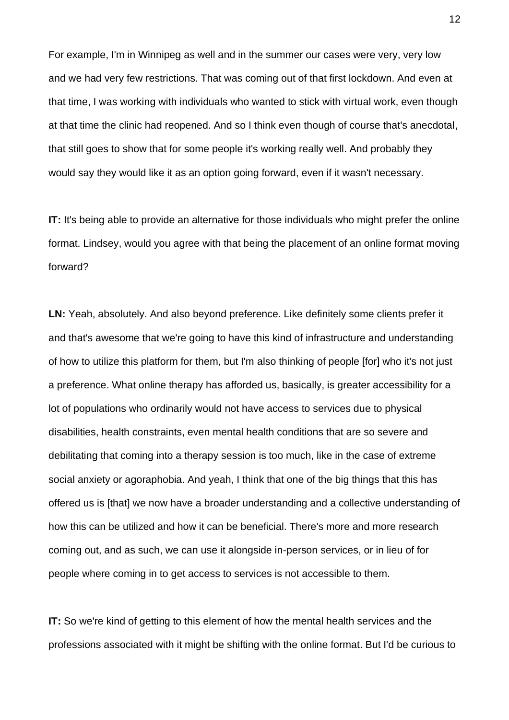For example, I'm in Winnipeg as well and in the summer our cases were very, very low and we had very few restrictions. That was coming out of that first lockdown. And even at that time, I was working with individuals who wanted to stick with virtual work, even though at that time the clinic had reopened. And so I think even though of course that's anecdotal, that still goes to show that for some people it's working really well. And probably they would say they would like it as an option going forward, even if it wasn't necessary.

**IT:** It's being able to provide an alternative for those individuals who might prefer the online format. Lindsey, would you agree with that being the placement of an online format moving forward?

LN: Yeah, absolutely. And also beyond preference. Like definitely some clients prefer it and that's awesome that we're going to have this kind of infrastructure and understanding of how to utilize this platform for them, but I'm also thinking of people [for] who it's not just a preference. What online therapy has afforded us, basically, is greater accessibility for a lot of populations who ordinarily would not have access to services due to physical disabilities, health constraints, even mental health conditions that are so severe and debilitating that coming into a therapy session is too much, like in the case of extreme social anxiety or agoraphobia. And yeah, I think that one of the big things that this has offered us is [that] we now have a broader understanding and a collective understanding of how this can be utilized and how it can be beneficial. There's more and more research coming out, and as such, we can use it alongside in-person services, or in lieu of for people where coming in to get access to services is not accessible to them.

**IT:** So we're kind of getting to this element of how the mental health services and the professions associated with it might be shifting with the online format. But I'd be curious to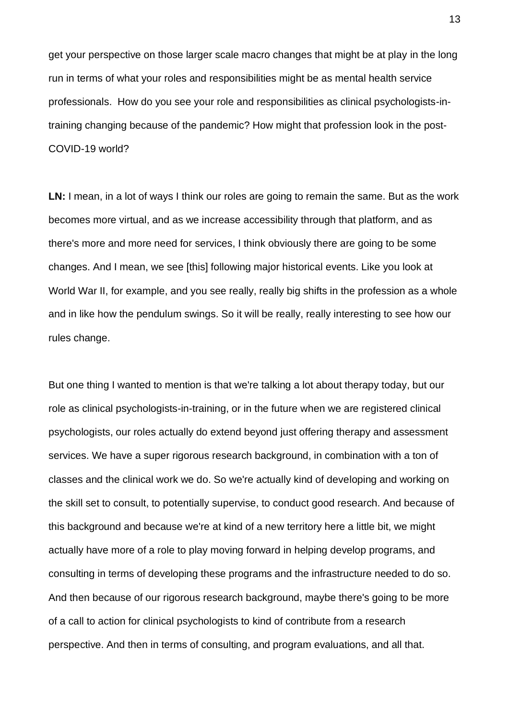get your perspective on those larger scale macro changes that might be at play in the long run in terms of what your roles and responsibilities might be as mental health service professionals. How do you see your role and responsibilities as clinical psychologists-intraining changing because of the pandemic? How might that profession look in the post-COVID-19 world?

**LN:** I mean, in a lot of ways I think our roles are going to remain the same. But as the work becomes more virtual, and as we increase accessibility through that platform, and as there's more and more need for services, I think obviously there are going to be some changes. And I mean, we see [this] following major historical events. Like you look at World War II, for example, and you see really, really big shifts in the profession as a whole and in like how the pendulum swings. So it will be really, really interesting to see how our rules change.

But one thing I wanted to mention is that we're talking a lot about therapy today, but our role as clinical psychologists-in-training, or in the future when we are registered clinical psychologists, our roles actually do extend beyond just offering therapy and assessment services. We have a super rigorous research background, in combination with a ton of classes and the clinical work we do. So we're actually kind of developing and working on the skill set to consult, to potentially supervise, to conduct good research. And because of this background and because we're at kind of a new territory here a little bit, we might actually have more of a role to play moving forward in helping develop programs, and consulting in terms of developing these programs and the infrastructure needed to do so. And then because of our rigorous research background, maybe there's going to be more of a call to action for clinical psychologists to kind of contribute from a research perspective. And then in terms of consulting, and program evaluations, and all that.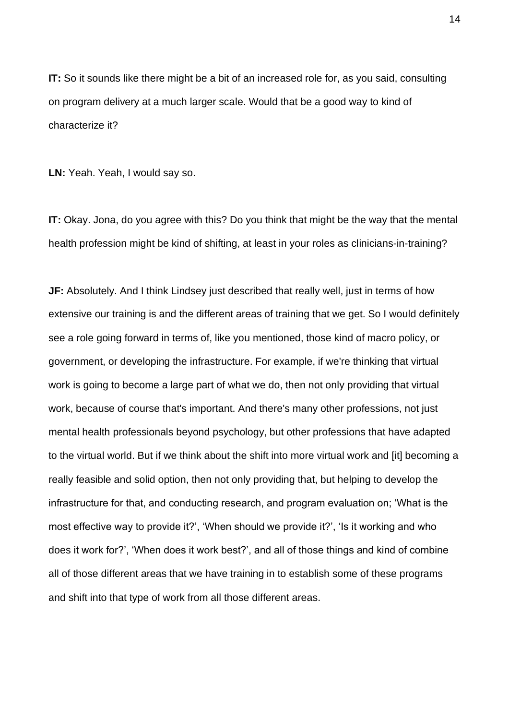**IT:** So it sounds like there might be a bit of an increased role for, as you said, consulting on program delivery at a much larger scale. Would that be a good way to kind of characterize it?

**LN:** Yeah. Yeah, I would say so.

**IT:** Okay. Jona, do you agree with this? Do you think that might be the way that the mental health profession might be kind of shifting, at least in your roles as clinicians-in-training?

**JF:** Absolutely. And I think Lindsey just described that really well, just in terms of how extensive our training is and the different areas of training that we get. So I would definitely see a role going forward in terms of, like you mentioned, those kind of macro policy, or government, or developing the infrastructure. For example, if we're thinking that virtual work is going to become a large part of what we do, then not only providing that virtual work, because of course that's important. And there's many other professions, not just mental health professionals beyond psychology, but other professions that have adapted to the virtual world. But if we think about the shift into more virtual work and [it] becoming a really feasible and solid option, then not only providing that, but helping to develop the infrastructure for that, and conducting research, and program evaluation on; 'What is the most effective way to provide it?', 'When should we provide it?', 'Is it working and who does it work for?', 'When does it work best?', and all of those things and kind of combine all of those different areas that we have training in to establish some of these programs and shift into that type of work from all those different areas.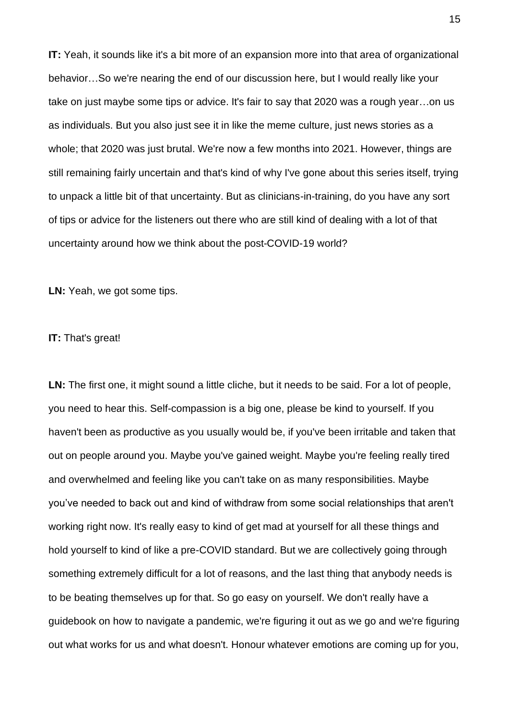**IT:** Yeah, it sounds like it's a bit more of an expansion more into that area of organizational behavior…So we're nearing the end of our discussion here, but I would really like your take on just maybe some tips or advice. It's fair to say that 2020 was a rough year…on us as individuals. But you also just see it in like the meme culture, just news stories as a whole; that 2020 was just brutal. We're now a few months into 2021. However, things are still remaining fairly uncertain and that's kind of why I've gone about this series itself, trying to unpack a little bit of that uncertainty. But as clinicians-in-training, do you have any sort of tips or advice for the listeners out there who are still kind of dealing with a lot of that uncertainty around how we think about the post-COVID-19 world?

**LN:** Yeah, we got some tips.

## **IT:** That's great!

LN: The first one, it might sound a little cliche, but it needs to be said. For a lot of people, you need to hear this. Self-compassion is a big one, please be kind to yourself. If you haven't been as productive as you usually would be, if you've been irritable and taken that out on people around you. Maybe you've gained weight. Maybe you're feeling really tired and overwhelmed and feeling like you can't take on as many responsibilities. Maybe you've needed to back out and kind of withdraw from some social relationships that aren't working right now. It's really easy to kind of get mad at yourself for all these things and hold yourself to kind of like a pre-COVID standard. But we are collectively going through something extremely difficult for a lot of reasons, and the last thing that anybody needs is to be beating themselves up for that. So go easy on yourself. We don't really have a guidebook on how to navigate a pandemic, we're figuring it out as we go and we're figuring out what works for us and what doesn't. Honour whatever emotions are coming up for you,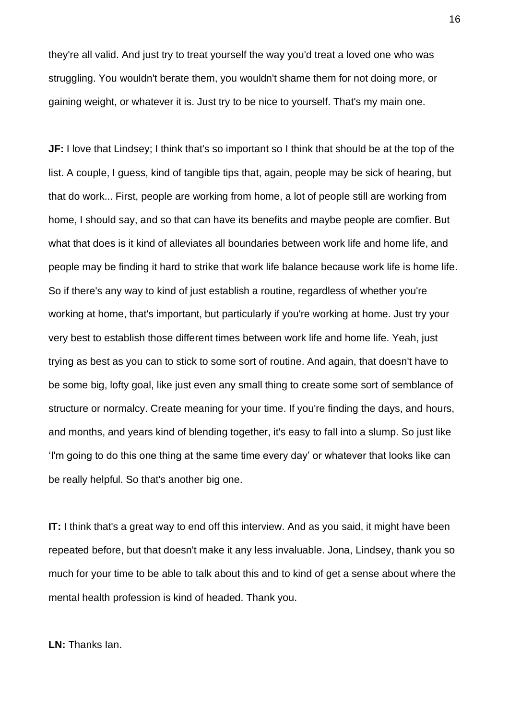they're all valid. And just try to treat yourself the way you'd treat a loved one who was struggling. You wouldn't berate them, you wouldn't shame them for not doing more, or gaining weight, or whatever it is. Just try to be nice to yourself. That's my main one.

**JF:** I love that Lindsey; I think that's so important so I think that should be at the top of the list. A couple, I guess, kind of tangible tips that, again, people may be sick of hearing, but that do work... First, people are working from home, a lot of people still are working from home, I should say, and so that can have its benefits and maybe people are comfier. But what that does is it kind of alleviates all boundaries between work life and home life, and people may be finding it hard to strike that work life balance because work life is home life. So if there's any way to kind of just establish a routine, regardless of whether you're working at home, that's important, but particularly if you're working at home. Just try your very best to establish those different times between work life and home life. Yeah, just trying as best as you can to stick to some sort of routine. And again, that doesn't have to be some big, lofty goal, like just even any small thing to create some sort of semblance of structure or normalcy. Create meaning for your time. If you're finding the days, and hours, and months, and years kind of blending together, it's easy to fall into a slump. So just like 'I'm going to do this one thing at the same time every day' or whatever that looks like can be really helpful. So that's another big one.

**IT:** I think that's a great way to end off this interview. And as you said, it might have been repeated before, but that doesn't make it any less invaluable. Jona, Lindsey, thank you so much for your time to be able to talk about this and to kind of get a sense about where the mental health profession is kind of headed. Thank you.

**LN:** Thanks Ian.